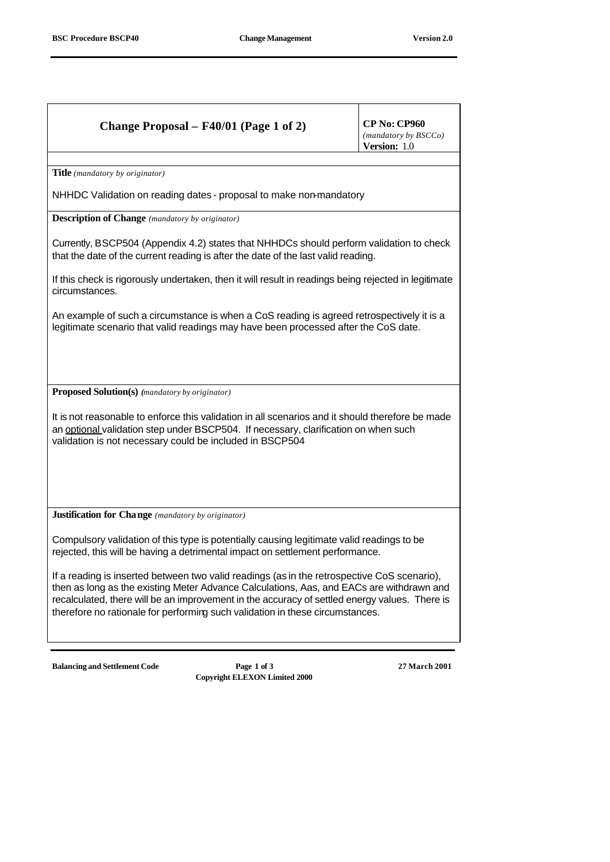|                                                                                                                                                                                                                                                                                                                                                                           | Change Proposal – F40/01 (Page 1 of 2) | <b>CP No: CP960</b><br>(mandatory by BSCCo)<br>Version: 1.0 |  |
|---------------------------------------------------------------------------------------------------------------------------------------------------------------------------------------------------------------------------------------------------------------------------------------------------------------------------------------------------------------------------|----------------------------------------|-------------------------------------------------------------|--|
| Title (mandatory by originator)                                                                                                                                                                                                                                                                                                                                           |                                        |                                                             |  |
| NHHDC Validation on reading dates - proposal to make non-mandatory                                                                                                                                                                                                                                                                                                        |                                        |                                                             |  |
| <b>Description of Change</b> (mandatory by originator)                                                                                                                                                                                                                                                                                                                    |                                        |                                                             |  |
| Currently, BSCP504 (Appendix 4.2) states that NHHDCs should perform validation to check<br>that the date of the current reading is after the date of the last valid reading.                                                                                                                                                                                              |                                        |                                                             |  |
| If this check is rigorously undertaken, then it will result in readings being rejected in legitimate<br>circumstances.                                                                                                                                                                                                                                                    |                                        |                                                             |  |
| An example of such a circumstance is when a CoS reading is agreed retrospectively it is a<br>legitimate scenario that valid readings may have been processed after the CoS date.                                                                                                                                                                                          |                                        |                                                             |  |
|                                                                                                                                                                                                                                                                                                                                                                           |                                        |                                                             |  |
| <b>Proposed Solution(s)</b> (mandatory by originator)                                                                                                                                                                                                                                                                                                                     |                                        |                                                             |  |
| It is not reasonable to enforce this validation in all scenarios and it should therefore be made<br>an optional validation step under BSCP504. If necessary, clarification on when such<br>validation is not necessary could be included in BSCP504                                                                                                                       |                                        |                                                             |  |
|                                                                                                                                                                                                                                                                                                                                                                           |                                        |                                                             |  |
| <b>Justification for Change</b> (mandatory by originator)                                                                                                                                                                                                                                                                                                                 |                                        |                                                             |  |
| Compulsory validation of this type is potentially causing legitimate valid readings to be<br>rejected, this will be having a detrimental impact on settlement performance.                                                                                                                                                                                                |                                        |                                                             |  |
| If a reading is inserted between two valid readings (as in the retrospective CoS scenario),<br>then as long as the existing Meter Advance Calculations, Aas, and EACs are withdrawn and<br>recalculated, there will be an improvement in the accuracy of settled energy values. There is<br>therefore no rationale for performing such validation in these circumstances. |                                        |                                                             |  |
| <b>Balancing and Settlement Code</b>                                                                                                                                                                                                                                                                                                                                      | Page 1 of 3                            | 27 March 2001                                               |  |

**Copyright ELEXON Limited 2000**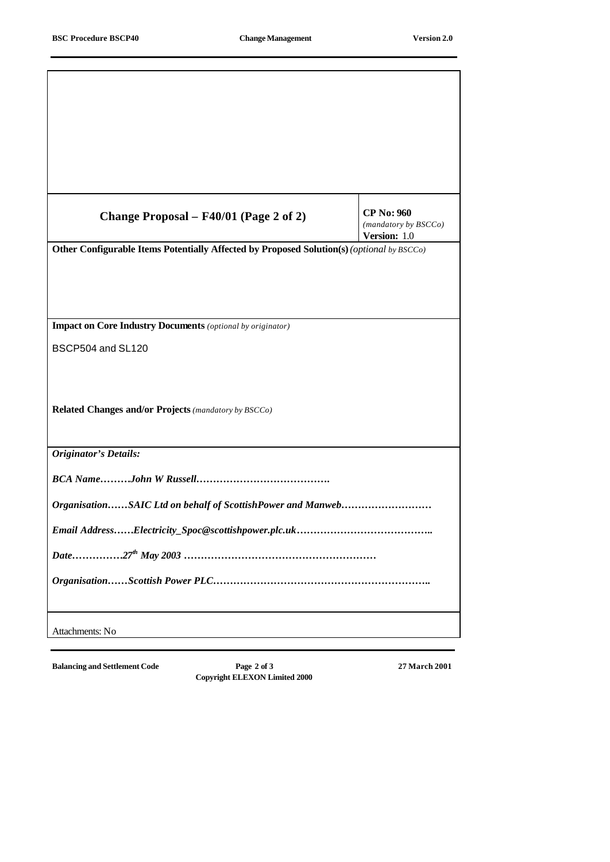| Change Proposal – F40/01 (Page 2 of 2)                                                    | <b>CP No: 960</b><br>(mandatory by BSCCo)<br>Version: 1.0 |  |  |
|-------------------------------------------------------------------------------------------|-----------------------------------------------------------|--|--|
| Other Configurable Items Potentially Affected by Proposed Solution(s) (optional by BSCCo) |                                                           |  |  |
|                                                                                           |                                                           |  |  |
| <b>Impact on Core Industry Documents</b> (optional by originator)                         |                                                           |  |  |
| BSCP504 and SL120                                                                         |                                                           |  |  |
| Related Changes and/or Projects (mandatory by BSCCo)                                      |                                                           |  |  |
| <b>Originator's Details:</b>                                                              |                                                           |  |  |
|                                                                                           |                                                           |  |  |
| OrganisationSAIC Ltd on behalf of ScottishPower and Manweb                                |                                                           |  |  |
|                                                                                           |                                                           |  |  |
|                                                                                           |                                                           |  |  |
|                                                                                           |                                                           |  |  |
| Attachments: No                                                                           |                                                           |  |  |

**Balancing and Settlement Code Page 2 of 3 27 March 2001 Copyright ELEXON Limited 2000**